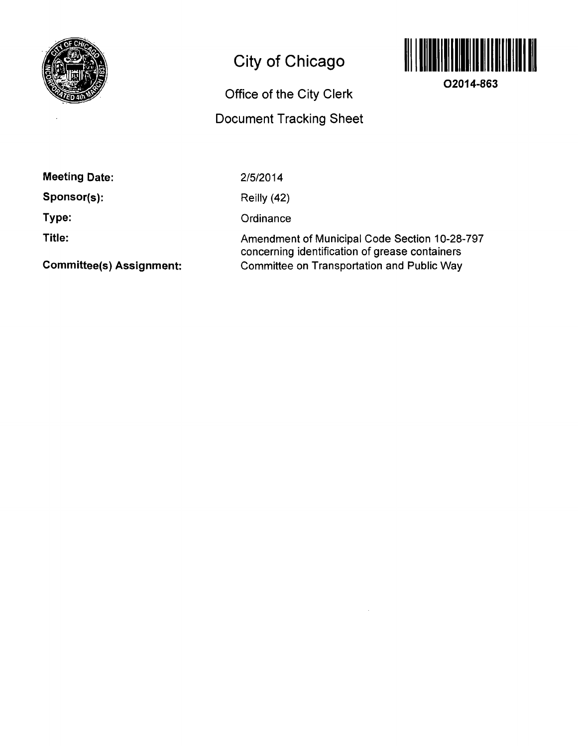

# **City of Chicago**



**02014-863** 

## **Office of the City Clerk Document Tracking Sheet**

| <b>Meeting Date:</b> |  |
|----------------------|--|
|----------------------|--|

**Sponsor(s):** 

**Type:** 

**Title:** 

2/5/2014

Reilly (42)

**Ordinance** 

Amendment of Municipal Code Section 10-28-797 concerning identification of grease containers Committee on Transportation and Public Way

**Committee(s) Assignment:**